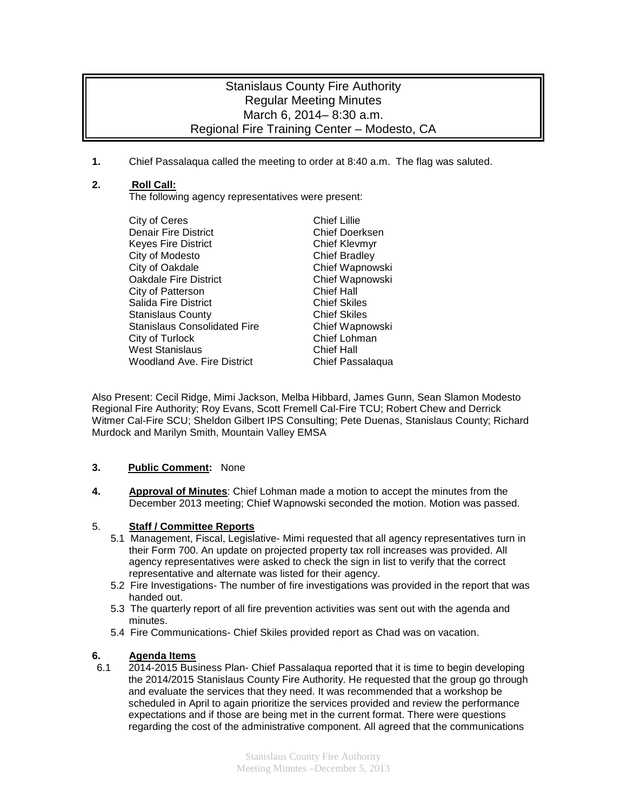# Stanislaus County Fire Authority Regular Meeting Minutes March 6, 2014– 8:30 a.m. Regional Fire Training Center – Modesto, CA

**1.** Chief Passalaqua called the meeting to order at 8:40 a.m. The flag was saluted.

## **2. Roll Call:**

The following agency representatives were present:

- City of Ceres<br>
Denair Fire District<br>
Denair Fire District<br>
Chief Doerksen Denair Fire District **Chief Doerksen Chief Doerksen Chief Chief Chief Chief Chief Chief Chief Chief Chief Chief**<br>Chief Kleymyr Keyes Fire District City of Modesto Chief Bradley City of Oakdale Chief Wapnowski<br>Cakdale Fire District Chief Wapnowski Oakdale Fire District **Chief Wapnowskip Chief Wap**<br>City of Patterson Chief Hall City of Patterson Salida Fire District **Chief Skiles**<br>Stanislaus County Chief Skiles Stanislaus County<br>
Stanislaus Consolidated Fire<br>
Chief Wapnowski Stanislaus Consolidated Fire City of Turlock Chief Lohman<br>
West Stanislaus Chief Hall West Stanislaus<br>
Woodland Ave. Fire District

Woodland Ave. Fire District

Woodland Ave. Fire District

Woodland Ave. Fire District

Woodland Ave. Fire District

Woodland Ave. Fire District Woodland Ave. Fire District
- 

Also Present: Cecil Ridge, Mimi Jackson, Melba Hibbard, James Gunn, Sean Slamon Modesto Regional Fire Authority; Roy Evans, Scott Fremell Cal-Fire TCU; Robert Chew and Derrick Witmer Cal-Fire SCU; Sheldon Gilbert IPS Consulting; Pete Duenas, Stanislaus County; Richard Murdock and Marilyn Smith, Mountain Valley EMSA

### **3. Public Comment:** None

**4. Approval of Minutes**: Chief Lohman made a motion to accept the minutes from the December 2013 meeting; Chief Wapnowski seconded the motion. Motion was passed.

### 5. **Staff / Committee Reports**

- 5.1 Management, Fiscal, Legislative- Mimi requested that all agency representatives turn in their Form 700. An update on projected property tax roll increases was provided. All agency representatives were asked to check the sign in list to verify that the correct representative and alternate was listed for their agency.
- 5.2 Fire Investigations- The number of fire investigations was provided in the report that was handed out.
- 5.3 The quarterly report of all fire prevention activities was sent out with the agenda and minutes.
- 5.4 Fire Communications- Chief Skiles provided report as Chad was on vacation.

### **6. Agenda Items**

6.1 2014-2015 Business Plan- Chief Passalaqua reported that it is time to begin developing the 2014/2015 Stanislaus County Fire Authority. He requested that the group go through and evaluate the services that they need. It was recommended that a workshop be scheduled in April to again prioritize the services provided and review the performance expectations and if those are being met in the current format. There were questions regarding the cost of the administrative component. All agreed that the communications